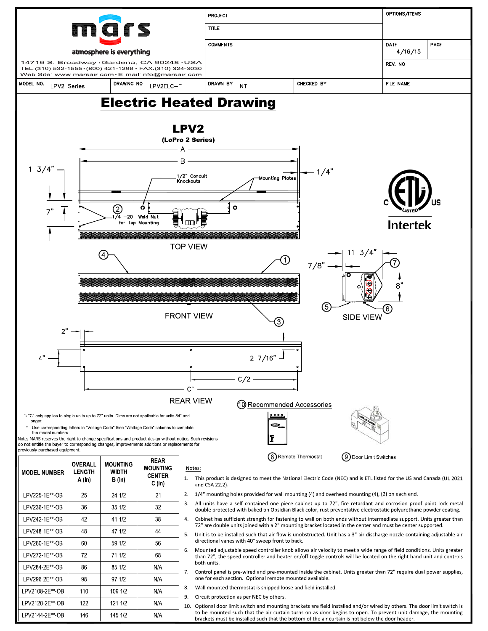

LPV2144 2E\*\* OB

146

145 1/2

 $N/A$ 

Optional door limit switch and mounting brackets are field installed and/or wired by others. The door limit switch is 10. to be mounted such that the air curtain turns on as door begins to open. To prevent unit damage, the mounting brackets must be installed such that the bottom of the air curtain is not below the door header.